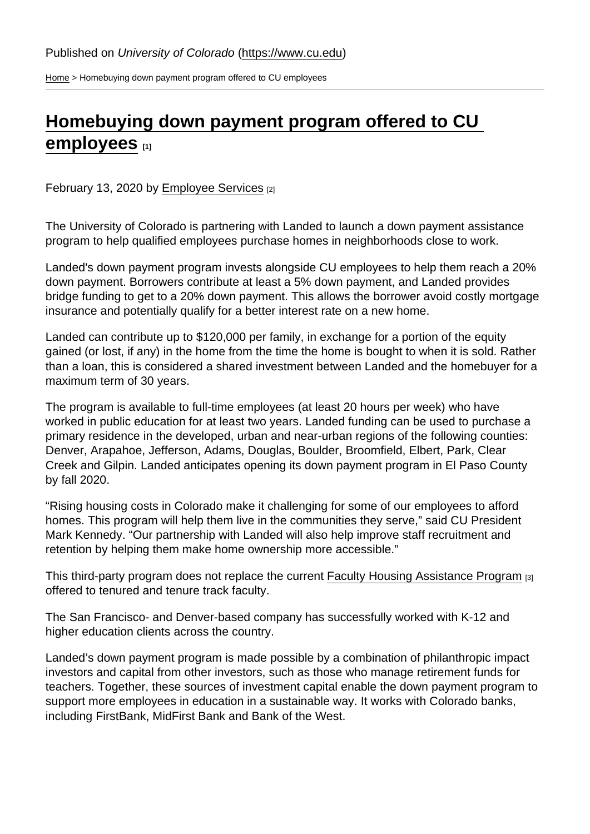[Home](https://www.cu.edu/) > Homebuying down payment program offered to CU employees

## [Homebuying down payment program offered to CU](https://www.cu.edu/blog/work-life/homebuying-down-payment-program-offered-cu-employees)  [employees](https://www.cu.edu/blog/work-life/homebuying-down-payment-program-offered-cu-employees) [1]

February 13, 2020 by [Employee Services](https://www.cu.edu/blog/work-life/author/9230) [2]

The University of Colorado is partnering with Landed to launch a down payment assistance program to help qualified employees purchase homes in neighborhoods close to work.

Landed's down payment program invests alongside CU employees to help them reach a 20% down payment. Borrowers contribute at least a 5% down payment, and Landed provides bridge funding to get to a 20% down payment. This allows the borrower avoid costly mortgage insurance and potentially qualify for a better interest rate on a new home.

Landed can contribute up to \$120,000 per family, in exchange for a portion of the equity gained (or lost, if any) in the home from the time the home is bought to when it is sold. Rather than a loan, this is considered a shared investment between Landed and the homebuyer for a maximum term of 30 years.

The program is available to full-time employees (at least 20 hours per week) who have worked in public education for at least two years. Landed funding can be used to purchase a primary residence in the developed, urban and near-urban regions of the following counties: Denver, Arapahoe, Jefferson, Adams, Douglas, Boulder, Broomfield, Elbert, Park, Clear Creek and Gilpin. Landed anticipates opening its down payment program in El Paso County by fall 2020.

"Rising housing costs in Colorado make it challenging for some of our employees to afford homes. This program will help them live in the communities they serve," said CU President Mark Kennedy. "Our partnership with Landed will also help improve staff recruitment and retention by helping them make home ownership more accessible."

This third-party program does not replace the current [Faculty Housing Assistance Program](https://www.cu.edu/treasurer/faculty-housing-assistance-program) [3] offered to tenured and tenure track faculty.

The San Francisco- and Denver-based company has successfully worked with K-12 and higher education clients across the country.

Landed's down payment program is made possible by a combination of philanthropic impact investors and capital from other investors, such as those who manage retirement funds for teachers. Together, these sources of investment capital enable the down payment program to support more employees in education in a sustainable way. It works with Colorado banks, including FirstBank, MidFirst Bank and Bank of the West.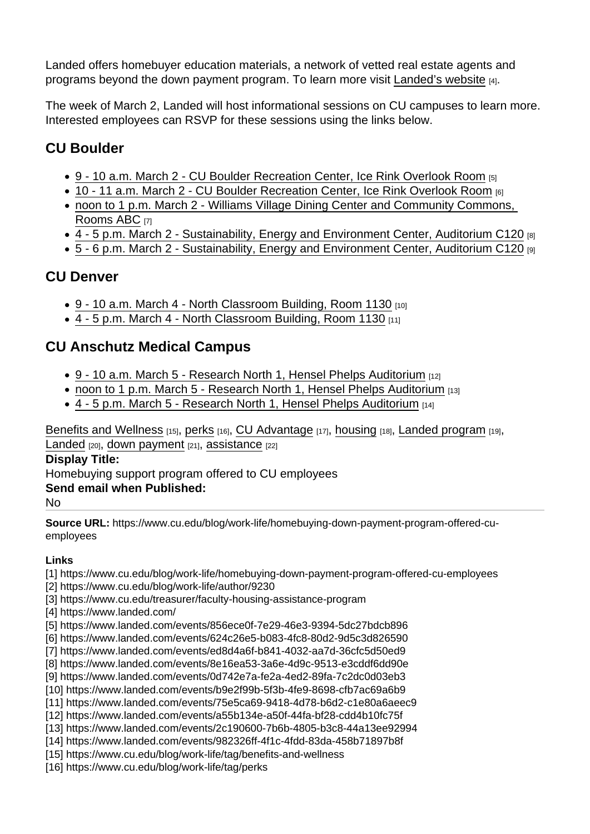Landed offers homebuyer education materials, a network of vetted real estate agents and programs beyond the down payment program. To learn more visit [Landed's website](https://www.landed.com/) [4].

The week of March 2, Landed will host informational sessions on CU campuses to learn more. Interested employees can RSVP for these sessions using the links below.

## CU Boulder

- [9 10 a.m. March 2 CU Boulder Recreation Center, Ice Rink Overlook Room](https://www.landed.com/events/856ece0f-7e29-46e3-9394-5dc27bdcb896) [5]
- [10 11 a.m. March 2 CU Boulder Recreation Center, Ice Rink Overlook Room](https://www.landed.com/events/624c26e5-b083-4fc8-80d2-9d5c3d826590) [6]
- [noon to 1 p.m. March 2 Williams Village Dining Center and Community Commons,](https://www.landed.com/events/ed8d4a6f-b841-4032-aa7d-36cfc5d50ed9)  [Rooms ABC](https://www.landed.com/events/ed8d4a6f-b841-4032-aa7d-36cfc5d50ed9) [7]
- [4 5 p.m. March 2 Sustainability, Energy and Environment Center, Auditorium C120](https://www.landed.com/events/8e16ea53-3a6e-4d9c-9513-e3cddf6dd90e) [8]
- [5 6 p.m. March 2 Sustainability, Energy and Environment Center, Auditorium C120](https://www.landed.com/events/0d742e7a-fe2a-4ed2-89fa-7c2dc0d03eb3) [9]

## CU Denver

- [9 10 a.m. March 4 North Classroom Building, Room 1130](https://www.landed.com/events/b9e2f99b-5f3b-4fe9-8698-cfb7ac69a6b9) [10]
- [4 5 p.m. March 4 North Classroom Building, Room 1130](https://www.landed.com/events/75e5ca69-9418-4d78-b6d2-c1e80a6aeec9) [11]

## CU Anschutz Medical Campus

- [9 10 a.m. March 5 Research North 1, Hensel Phelps Auditorium](https://www.landed.com/events/a55b134e-a50f-44fa-bf28-cdd4b10fc75f) [12]
- [noon to 1 p.m. March 5 Research North 1, Hensel Phelps Auditorium](https://www.landed.com/events/2c190600-7b6b-4805-b3c8-44a13ee92994) [13]
- $\bullet$  [4 5 p.m. March 5 Research North 1, Hensel Phelps Auditorium](https://www.landed.com/events/982326ff-4f1c-4fdd-83da-458b71897b8f)  $[14]$

[Benefits and Wellness](https://www.cu.edu/blog/work-life/tag/benefits-and-wellness) [15], [perks](https://www.cu.edu/blog/work-life/tag/perks) [16], [CU Advantage](https://www.cu.edu/blog/work-life/tag/cu-advantage) [17], [housing](https://www.cu.edu/blog/work-life/tag/housing) [18], [Landed program](https://www.cu.edu/blog/work-life/tag/landed-program) [19], [Landed](https://www.cu.edu/blog/work-life/tag/landed) [20], [down payment](https://www.cu.edu/blog/work-life/tag/down-payment) [21], [assistance](https://www.cu.edu/blog/work-life/tag/assistance) [22]

Display Title:

Homebuying support program offered to CU employees

Send email when Published:

No

Source URL: https://www.cu.edu/blog/work-life/homebuying-down-payment-program-offered-cuemployees

Links

- [1] https://www.cu.edu/blog/work-life/homebuying-down-payment-program-offered-cu-employees
- [2] https://www.cu.edu/blog/work-life/author/9230
- [3] https://www.cu.edu/treasurer/faculty-housing-assistance-program
- [4] https://www.landed.com/
- [5] https://www.landed.com/events/856ece0f-7e29-46e3-9394-5dc27bdcb896
- [6] https://www.landed.com/events/624c26e5-b083-4fc8-80d2-9d5c3d826590
- [7] https://www.landed.com/events/ed8d4a6f-b841-4032-aa7d-36cfc5d50ed9
- [8] https://www.landed.com/events/8e16ea53-3a6e-4d9c-9513-e3cddf6dd90e
- [9] https://www.landed.com/events/0d742e7a-fe2a-4ed2-89fa-7c2dc0d03eb3
- [10] https://www.landed.com/events/b9e2f99b-5f3b-4fe9-8698-cfb7ac69a6b9
- [11] https://www.landed.com/events/75e5ca69-9418-4d78-b6d2-c1e80a6aeec9
- [12] https://www.landed.com/events/a55b134e-a50f-44fa-bf28-cdd4b10fc75f
- [13] https://www.landed.com/events/2c190600-7b6b-4805-b3c8-44a13ee92994
- [14] https://www.landed.com/events/982326ff-4f1c-4fdd-83da-458b71897b8f [15] https://www.cu.edu/blog/work-life/tag/benefits-and-wellness
- 
- [16] https://www.cu.edu/blog/work-life/tag/perks